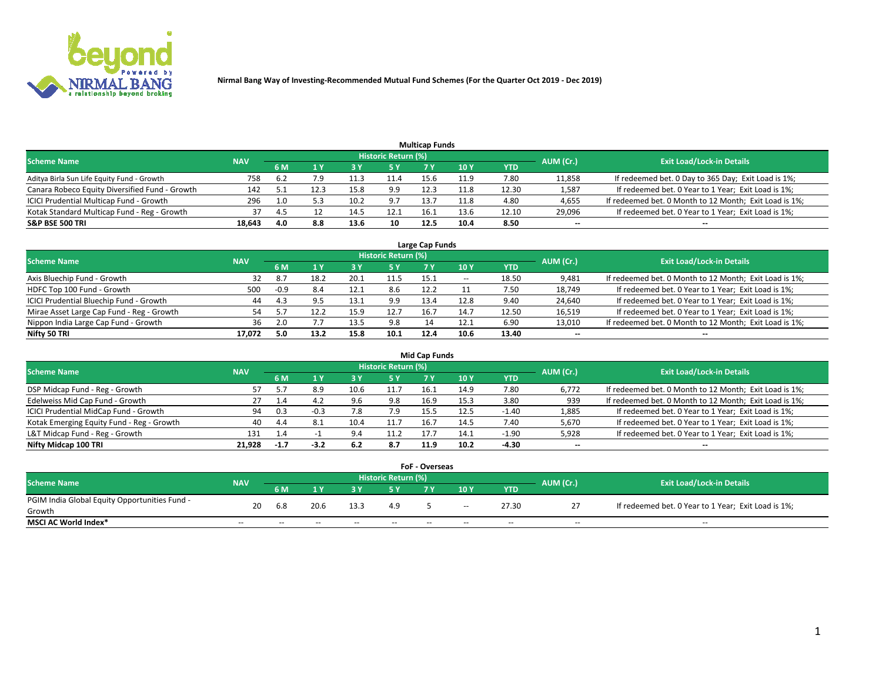

| <b>Multicap Funds</b>                          |            |      |     |      |                     |      |      |       |                          |                                                        |  |  |  |  |
|------------------------------------------------|------------|------|-----|------|---------------------|------|------|-------|--------------------------|--------------------------------------------------------|--|--|--|--|
| <b>Scheme Name</b>                             | <b>NAV</b> |      |     |      | Historic Return (%) |      |      |       | AUM (Cr.)                | <b>Exit Load/Lock-in Details</b>                       |  |  |  |  |
|                                                |            | 6 M  |     |      | <b>5 Y</b>          |      | 10Y  | YTD   |                          |                                                        |  |  |  |  |
| Aditya Birla Sun Life Equity Fund - Growth     | 758        | -6.2 | 7.9 |      | 11.4                | 15.6 | 11.9 | 7.80  | 11,858                   | If redeemed bet. 0 Day to 365 Day; Exit Load is 1%;    |  |  |  |  |
| Canara Robeco Equity Diversified Fund - Growth | 142        |      |     | 15.8 | 9.9                 | 12.3 |      | 12.30 | 1,587                    | If redeemed bet. 0 Year to 1 Year; Exit Load is 1%;    |  |  |  |  |
| ICICI Prudential Multicap Fund - Growth        | 296        |      |     | 10.2 | 9.7                 | 13.  |      | 4.80  | 4,655                    | If redeemed bet. 0 Month to 12 Month; Exit Load is 1%; |  |  |  |  |
| Kotak Standard Multicap Fund - Reg - Growth    |            | 4.5  |     | 14.5 | 12.1                | 16.1 | 13.6 | 12.10 | 29,096                   | If redeemed bet. 0 Year to 1 Year; Exit Load is 1%;    |  |  |  |  |
| <b>S&amp;P BSE 500 TRI</b>                     | 18.643     | 4.0  | 8.8 | 13.6 | 10                  | 12.5 | 10.4 | 8.50  | $\overline{\phantom{a}}$ | $- -$                                                  |  |  |  |  |

| Large Cap Funds                           |            |                |                         |      |                            |      |       |       |           |                                                        |  |  |  |  |
|-------------------------------------------|------------|----------------|-------------------------|------|----------------------------|------|-------|-------|-----------|--------------------------------------------------------|--|--|--|--|
| <b>Scheme Name</b>                        | <b>NAV</b> |                |                         |      | <b>Historic Return (%)</b> |      |       |       | AUM (Cr.) | <b>Exit Load/Lock-in Details</b>                       |  |  |  |  |
|                                           |            | 6 <sub>M</sub> | $\mathbf{A} \mathbf{v}$ |      | <b>5Y</b>                  | 7 Y  | 10Y   | YTD   |           |                                                        |  |  |  |  |
| Axis Bluechip Fund - Growth               | 32         | 8.7            | 18.2                    | 20.1 | 11.5                       | 15.1 | $- -$ | 18.50 | 9,481     | If redeemed bet. 0 Month to 12 Month; Exit Load is 1%; |  |  |  |  |
| HDFC Top 100 Fund - Growth                | 500        | $-0.9$         | 8.4                     | 12.1 | 8.6                        | 12.2 |       | 7.50  | 18,749    | If redeemed bet. 0 Year to 1 Year; Exit Load is 1%;    |  |  |  |  |
| ICICI Prudential Bluechip Fund - Growth   | 44         | -4.3           |                         | 13.1 | 9.9                        | 13.4 | 12.8  | 9.40  | 24,640    | If redeemed bet. 0 Year to 1 Year; Exit Load is 1%;    |  |  |  |  |
| Mirae Asset Large Cap Fund - Reg - Growth | 54         |                |                         |      | 12.7                       | 16.7 | 14.7  | 12.50 | 16,519    | If redeemed bet. 0 Year to 1 Year; Exit Load is 1%;    |  |  |  |  |
| Nippon India Large Cap Fund - Growth      | 36         | 2.0            | 7.7                     | 13.5 | 9.8                        | 14   | 12.1  | 6.90  | 13,010    | If redeemed bet. 0 Month to 12 Month; Exit Load is 1%; |  |  |  |  |
| Nifty 50 TRI                              | 17.072     | 5.0            | 13.2                    | 15.8 | 10.1                       | 12.4 | 10.6  | 13.40 | $- -$     | $- -$                                                  |  |  |  |  |

| Mid Cap Funds                             |            |        |        |      |                            |      |      |         |           |                                                        |  |  |  |  |
|-------------------------------------------|------------|--------|--------|------|----------------------------|------|------|---------|-----------|--------------------------------------------------------|--|--|--|--|
| <b>Scheme Name</b>                        | <b>NAV</b> |        |        |      | <b>Historic Return (%)</b> |      |      |         | AUM (Cr.) | <b>Exit Load/Lock-in Details</b>                       |  |  |  |  |
|                                           |            | 6 M    |        |      | <b>5Y</b>                  | 7 Y  | 10Y  | YTD     |           |                                                        |  |  |  |  |
| DSP Midcap Fund - Reg - Growth            | 57         |        | 8.9    | 10.6 | 11.7                       | 16.1 | 14.9 | 7.80    | 6,772     | If redeemed bet. 0 Month to 12 Month; Exit Load is 1%; |  |  |  |  |
| Edelweiss Mid Cap Fund - Growth           | 27         |        |        | 9.6  | 9.8                        | 16.9 | 15.3 | 3.80    | 939       | If redeemed bet. 0 Month to 12 Month; Exit Load is 1%; |  |  |  |  |
| ICICI Prudential MidCap Fund - Growth     | 94         | 0.3    | -0.3   |      | 7.9                        | 15.5 | 12.5 | $-1.40$ | 1,885     | If redeemed bet. 0 Year to 1 Year; Exit Load is 1%;    |  |  |  |  |
| Kotak Emerging Equity Fund - Reg - Growth | 40         | -4.4   | 8.1    | 10.4 | 11.7                       | 16.7 | 14.5 | 7.40    | 5,670     | If redeemed bet. 0 Year to 1 Year; Exit Load is 1%;    |  |  |  |  |
| L&T Midcap Fund - Reg - Growth            | 131        |        |        | 9.4  | 11.2                       | 17.  | 14.1 | $-1.90$ | 5,928     | If redeemed bet. 0 Year to 1 Year; Exit Load is 1%;    |  |  |  |  |
| Nifty Midcap 100 TRI                      | 21.928     | $-1.7$ | $-3.2$ | 6.2  | 8.7                        | 11.9 | 10.2 | $-4.30$ | $\sim$    | $- -$                                                  |  |  |  |  |

|                                               |            |       |       |       |                     | <b>FoF - Overseas</b>            |       |            |           |                                                     |
|-----------------------------------------------|------------|-------|-------|-------|---------------------|----------------------------------|-------|------------|-----------|-----------------------------------------------------|
| Scheme Name                                   | <b>NAV</b> |       |       |       | Historic Return (%) | <b>Exit Load/Lock-in Details</b> |       |            |           |                                                     |
|                                               |            | 6 M   |       |       |                     |                                  | 10Y   | <b>YTD</b> | AUM (Cr.) |                                                     |
| PGIM India Global Equity Opportunities Fund - | 20         | 6.8   | 20.6  | 13.3  | 4.9                 |                                  |       | 27.30      |           | If redeemed bet. 0 Year to 1 Year; Exit Load is 1%; |
| Growth                                        |            |       |       |       |                     |                                  | $- -$ |            |           |                                                     |
| <b>MSCI AC World Index*</b>                   | $- -$      | $- -$ | $- -$ | $- -$ | $- -$               | $- -$                            | $- -$ | $-$        | $\sim$    | $-$                                                 |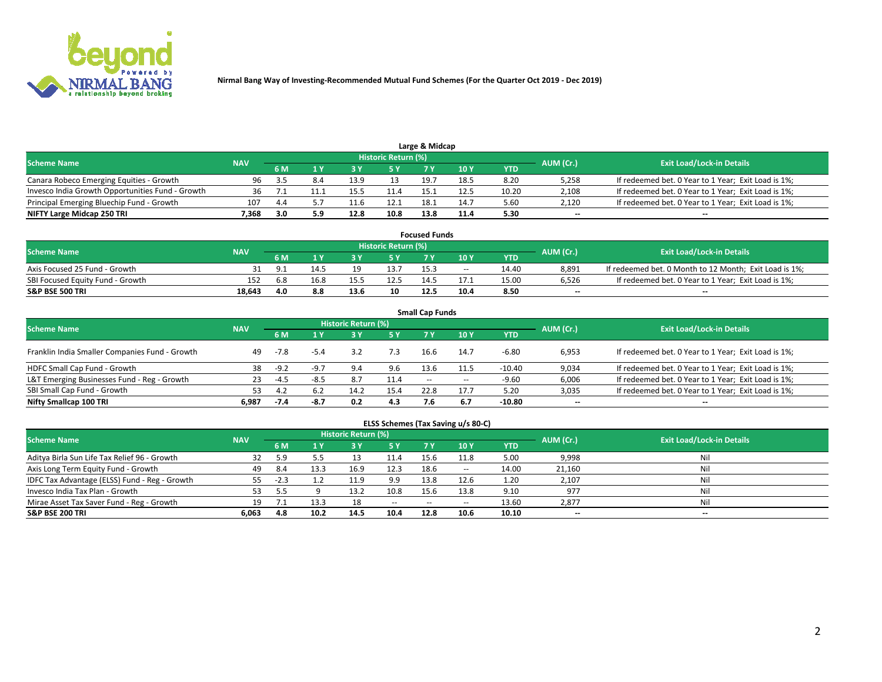

| Large & Midcap<br>Historic Return (%)            |            |       |     |      |      |      |      |       |           |                                                     |  |  |  |  |
|--------------------------------------------------|------------|-------|-----|------|------|------|------|-------|-----------|-----------------------------------------------------|--|--|--|--|
| <b>Scheme Name</b>                               | <b>NAV</b> | 6 M   |     |      |      |      | 10 Y | YTD   | AUM (Cr.) | <b>Exit Load/Lock-in Details</b>                    |  |  |  |  |
| Canara Robeco Emerging Equities - Growth         | 96         | - 3.5 | 8.4 | 13.9 | 12   | 19.7 | 18.5 | 8.20  | 5,258     | If redeemed bet. 0 Year to 1 Year; Exit Load is 1%; |  |  |  |  |
| Invesco India Growth Opportunities Fund - Growth |            |       |     | 15.5 | 11.4 | 15.1 | 12.5 | 10.20 | 2,108     | If redeemed bet. 0 Year to 1 Year; Exit Load is 1%; |  |  |  |  |
| Principal Emerging Bluechip Fund - Growth        | 107        | 44    |     | 11.6 | 12.1 | 18.1 | 14.7 | 5.60  | 2,120     | If redeemed bet. 0 Year to 1 Year; Exit Load is 1%; |  |  |  |  |
| NIFTY Large Midcap 250 TRI                       | 7.368      | 3.0   | 5.9 | 12.8 | 10.8 | 13.8 | 11.4 | 5.30  | $\sim$    | $- -$                                               |  |  |  |  |

| <b>Focused Funds</b>             |            |          |      |      |                     |      |       |            |                          |                                                        |  |  |  |
|----------------------------------|------------|----------|------|------|---------------------|------|-------|------------|--------------------------|--------------------------------------------------------|--|--|--|
| <b>Scheme Name</b>               | <b>NAV</b> |          |      |      | Historic Return (%) |      |       |            |                          | <b>Exit Load/Lock-in Details</b>                       |  |  |  |
|                                  |            | 6 M      |      |      |                     |      | 10 Y  | <b>YTD</b> | AUM (Cr.)                |                                                        |  |  |  |
| Axis Focused 25 Fund - Growth    |            | $\alpha$ | 14.5 |      | 13.7                | 15.3 | $- -$ | 14.40      | 8.891                    | If redeemed bet. 0 Month to 12 Month; Exit Load is 1%; |  |  |  |
| SBI Focused Equity Fund - Growth | 152        | 6.8      | 16.8 | 15.5 | 12.5                | 14.5 |       | 15.00      | 6.526                    | If redeemed bet. 0 Year to 1 Year: Exit Load is 1%:    |  |  |  |
| <b>S&amp;P BSE 500 TRI</b>       | 18.643     | 4.0      | 8.8  | 13.6 | 10                  | 12.5 | 10.4  | 8.50       | $\overline{\phantom{a}}$ | $\overline{\phantom{a}}$                               |  |  |  |

| <b>Small Cap Funds</b>                         |                   |        |            |                            |      |      |       |          |           |                                                     |  |  |  |
|------------------------------------------------|-------------------|--------|------------|----------------------------|------|------|-------|----------|-----------|-----------------------------------------------------|--|--|--|
| <b>Scheme Name</b>                             | <b>NAV</b>        |        |            | <b>Historic Return (%)</b> |      |      |       |          | AUM (Cr.) | <b>Exit Load/Lock-in Details</b>                    |  |  |  |
|                                                | 10Y<br>6 M<br>5 Y |        | <b>YTD</b> |                            |      |      |       |          |           |                                                     |  |  |  |
| Franklin India Smaller Companies Fund - Growth | 49                | $-7.8$ | $-5.4$     |                            | 7.3  | 16.6 | 14.7  | $-6.80$  | 6,953     | If redeemed bet. 0 Year to 1 Year; Exit Load is 1%; |  |  |  |
| HDFC Small Cap Fund - Growth                   | 38                | $-9.2$ | $-9.7$     | 9.4                        | 9.6  | 13.6 | 11.5  | -10.40   | 9,034     | If redeemed bet. 0 Year to 1 Year; Exit Load is 1%; |  |  |  |
| L&T Emerging Businesses Fund - Reg - Growth    | 23                | $-4.5$ | $-8.5$     | 8.7                        | 11.4 | $ -$ | $- -$ | $-9.60$  | 6,006     | If redeemed bet. 0 Year to 1 Year; Exit Load is 1%; |  |  |  |
| SBI Small Cap Fund - Growth                    | 53                | 4.2    | 6.2        | 14.2                       | 15.4 | 22.8 | 17.7  | 5.20     | 3,035     | If redeemed bet. 0 Year to 1 Year; Exit Load is 1%; |  |  |  |
| Nifty Smallcap 100 TRI                         | 6.987             | $-7.4$ | $-8.7$     | 0.2                        | 4.3  |      | 6.7   | $-10.80$ | $- -$     | $- -$                                               |  |  |  |

## **ELSS Schemes (Tax Saving u/s 80-C)**

| <b>Scheme Name</b>                            | <b>NAV</b> |      |      | <b>Historic Return (%)</b> |       |      |                          |       | AUM (Cr.) | <b>Exit Load/Lock-in Details</b> |
|-----------------------------------------------|------------|------|------|----------------------------|-------|------|--------------------------|-------|-----------|----------------------------------|
|                                               |            | 6 M  |      | 3 Y                        | 5 Y   | 7 Y  | 10 <sub>Y</sub>          | YTD   |           |                                  |
| Aditya Birla Sun Life Tax Relief 96 - Growth  | 32         | 5.9  |      |                            | 11.4  | 15.6 | 11.8                     | 5.00  | 9,998     | Nil                              |
| Axis Long Term Equity Fund - Growth           | 49         | -8.4 | 13.3 | 16.9                       | 12.3  | 18.6 | $\overline{\phantom{m}}$ | 14.00 | 21,160    | Nil                              |
| IDFC Tax Advantage (ELSS) Fund - Reg - Growth | 55.        | -4.3 |      |                            | 9.9   | 13.8 | 12.6                     | 1.20  | 2,107     | Nil                              |
| Invesco India Tax Plan - Growth               | 53         | 5.5  |      | 13.2                       | 10.8  | 15.6 | 13.8                     | 9.10  | 977       | Nil                              |
| Mirae Asset Tax Saver Fund - Reg - Growth     | 19.        |      | 13.3 | 18                         | $- -$ | --   |                          | 13.60 | 2,877     | Nil                              |
| S&P BSE 200 TRI                               | 6,063      | 4.8  | 10.2 | 14.5                       | 10.4  | 12.8 | 10.6                     | 10.10 | $\sim$    | $- -$                            |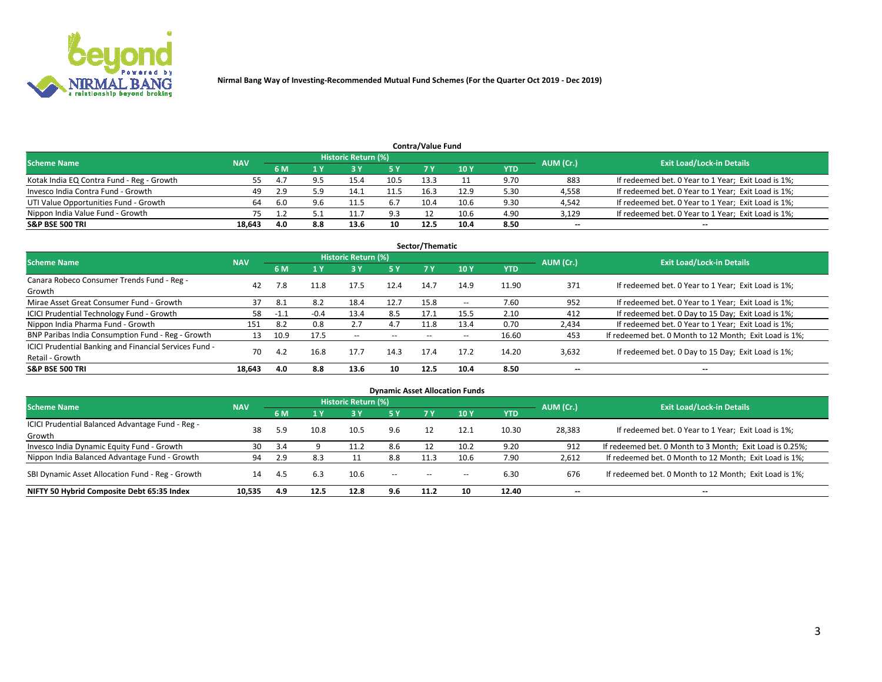

| <b>Contra/Value Fund</b>                                                                                 |        |      |     |      |      |      |      |            |        |                                                     |  |  |  |  |
|----------------------------------------------------------------------------------------------------------|--------|------|-----|------|------|------|------|------------|--------|-----------------------------------------------------|--|--|--|--|
| Historic Return (%)<br><b>Exit Load/Lock-in Details</b><br>AUM (Cr.)<br><b>Scheme Name</b><br><b>NAV</b> |        |      |     |      |      |      |      |            |        |                                                     |  |  |  |  |
|                                                                                                          |        | 6 M  |     |      | 5 Y  | 7 V  | 10Y  | <b>YTD</b> |        |                                                     |  |  |  |  |
| Kotak India EQ Contra Fund - Reg - Growth                                                                | 55.    | 4.1  |     | 15.4 | 10.5 | 13.3 |      | 9.70       | 883    | If redeemed bet. 0 Year to 1 Year; Exit Load is 1%; |  |  |  |  |
| Invesco India Contra Fund - Growth                                                                       | 49     |      | 5.9 | 14.1 | 11.5 | 16.5 | 12.9 | 5.30       | 4,558  | If redeemed bet. 0 Year to 1 Year; Exit Load is 1%; |  |  |  |  |
| UTI Value Opportunities Fund - Growth                                                                    | 64     | -6.0 | 9.6 | 11.5 | 6.7  | 10.4 | 10.6 | 9.30       | 4,542  | If redeemed bet. 0 Year to 1 Year; Exit Load is 1%; |  |  |  |  |
| Nippon India Value Fund - Growth                                                                         |        |      |     |      | 9.3  |      | 10.6 | 4.90       | 3,129  | If redeemed bet. 0 Year to 1 Year; Exit Load is 1%; |  |  |  |  |
| <b>S&amp;P BSE 500 TRI</b>                                                                               | 18.643 | 4.0  | 8.8 | 13.6 | 10   | 12.5 | 10.4 | 8.50       | $\sim$ | $- -$                                               |  |  |  |  |

|                                                                           |            |      |        |                          |            | Sector/Thematic |               |            |                          |                                                        |
|---------------------------------------------------------------------------|------------|------|--------|--------------------------|------------|-----------------|---------------|------------|--------------------------|--------------------------------------------------------|
| <b>Scheme Name</b>                                                        | <b>NAV</b> |      |        | Historic Return (%)      |            |                 |               |            | AUM (Cr.)                | <b>Exit Load/Lock-in Details</b>                       |
|                                                                           |            | 6 M  | 1 Y    | <b>3Y</b>                | <b>5 Y</b> | 7 Y             | 10Y           | <b>YTD</b> |                          |                                                        |
| Canara Robeco Consumer Trends Fund - Reg -<br>Growth                      | 42         | 7.8  | 11.8   | 17.5                     | 12.4       | 14.7            | 14.9          | 11.90      | 371                      | If redeemed bet. 0 Year to 1 Year; Exit Load is 1%;    |
| Mirae Asset Great Consumer Fund - Growth                                  | 37         | 8.1  | 8.2    | 18.4                     | 12.7       | 15.8            | $\sim$ $\sim$ | 7.60       | 952                      | If redeemed bet. 0 Year to 1 Year; Exit Load is 1%;    |
| ICICI Prudential Technology Fund - Growth                                 | 58         | -1.1 | $-0.4$ | 13.4                     | 8.5        | 17.1            | 15.5          | 2.10       | 412                      | If redeemed bet. 0 Day to 15 Day; Exit Load is 1%;     |
| Nippon India Pharma Fund - Growth                                         | 151        | 8.2  | 0.8    | 2.7                      | 4.7        | 11.8            | 13.4          | 0.70       | 2,434                    | If redeemed bet. 0 Year to 1 Year; Exit Load is 1%;    |
| BNP Paribas India Consumption Fund - Reg - Growth                         | 13         | 10.9 | 17.5   | $\overline{\phantom{a}}$ | $- -$      | --              | $- -$         | 16.60      | 453                      | If redeemed bet. 0 Month to 12 Month; Exit Load is 1%; |
| ICICI Prudential Banking and Financial Services Fund -<br>Retail - Growth | 70         | 4.2  | 16.8   | 17.7                     | 14.3       | 17.4            | 17.2          | 14.20      | 3,632                    | If redeemed bet. 0 Day to 15 Day; Exit Load is 1%;     |
| <b>S&amp;P BSE 500 TRI</b>                                                | 18.643     | 4.0  | 8.8    | 13.6                     | 10         | 12.5            | 10.4          | 8.50       | $\overline{\phantom{a}}$ | $\overline{\phantom{a}}$                               |

| <b>Dynamic Asset Allocation Funds</b>                      |            |     |      |                     |               |        |                 |            |                          |                                                          |  |  |  |
|------------------------------------------------------------|------------|-----|------|---------------------|---------------|--------|-----------------|------------|--------------------------|----------------------------------------------------------|--|--|--|
| Scheme Name                                                | <b>NAV</b> |     |      | Historic Return (%) |               |        |                 |            | AUM (Cr.)                | <b>Exit Load/Lock-in Details</b>                         |  |  |  |
|                                                            |            | 6 M |      | 3Y                  | 5 Y           |        | 10 <sub>Y</sub> | <b>YTD</b> |                          |                                                          |  |  |  |
| ICICI Prudential Balanced Advantage Fund - Reg -<br>Growth | 38         | 5.9 | 10.8 | 10.5                | 9.6           |        | 12.1            | 10.30      | 28,383                   | If redeemed bet. 0 Year to 1 Year; Exit Load is 1%;      |  |  |  |
| Invesco India Dynamic Equity Fund - Growth                 | 30         | 3.4 |      |                     | 8.6           | 12     | 10.2            | 9.20       | 912                      | If redeemed bet. 0 Month to 3 Month; Exit Load is 0.25%; |  |  |  |
| Nippon India Balanced Advantage Fund - Growth              | 94         | 2.9 | 8.3  |                     | 8.8           | 11.3   | 10.6            | 7.90       | 2,612                    | If redeemed bet. 0 Month to 12 Month; Exit Load is 1%;   |  |  |  |
| SBI Dynamic Asset Allocation Fund - Reg - Growth           | 14         | 4.5 | 6.3  | 10.6                | $\sim$ $\sim$ | $\sim$ | $\sim$          | 6.30       | 676                      | If redeemed bet. 0 Month to 12 Month; Exit Load is 1%;   |  |  |  |
| NIFTY 50 Hybrid Composite Debt 65:35 Index                 | 10.535     | 4.9 | 12.5 | 12.8                | 9.6           | 11.2   | 10              | 12.40      | $\overline{\phantom{a}}$ | --                                                       |  |  |  |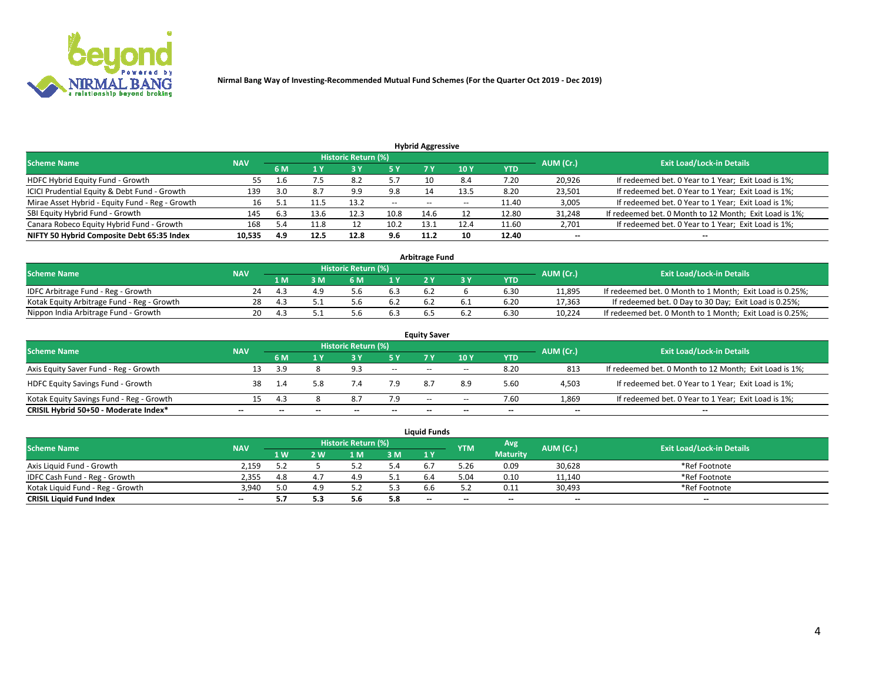

**Nirmal Bang Way of Investing-Recommended Mutual Fund Schemes (For the Quarter Oct 2019 - Dec 2019)**

|                                                 |            |     |      |                            |        | <b>Hybrid Aggressive</b> |       |       |           |                                                        |
|-------------------------------------------------|------------|-----|------|----------------------------|--------|--------------------------|-------|-------|-----------|--------------------------------------------------------|
| <b>Scheme Name</b>                              | <b>NAV</b> |     |      | <b>Historic Return (%)</b> |        |                          |       |       | AUM (Cr.) | <b>Exit Load/Lock-in Details</b>                       |
|                                                 |            | 6 M | 1 Y  | 3 Y                        | 5 Y    | 7 Y                      | 10Y   | YTD   |           |                                                        |
| HDFC Hybrid Equity Fund - Growth                | 55         | 1.6 | 7.5  | 8.2                        | 5.7    | 10                       | 8.4   | 7.20  | 20,926    | If redeemed bet. 0 Year to 1 Year; Exit Load is 1%;    |
| ICICI Prudential Equity & Debt Fund - Growth    | 139        | 3.0 | 8.7  | 9.9                        | 9.8    | 14                       | 13.5  | 8.20  | 23,501    | If redeemed bet. 0 Year to 1 Year; Exit Load is 1%;    |
| Mirae Asset Hybrid - Equity Fund - Reg - Growth | 16         |     | 11.5 | 13.2                       | $\sim$ | $\overline{\phantom{a}}$ | $- -$ | 11.40 | 3,005     | If redeemed bet. 0 Year to 1 Year; Exit Load is 1%;    |
| SBI Equity Hybrid Fund - Growth                 | 145        | 6.3 | 13.6 | 12.3                       | 10.8   | 14.6                     |       | 12.80 | 31,248    | If redeemed bet. 0 Month to 12 Month; Exit Load is 1%; |
| Canara Robeco Equity Hybrid Fund - Growth       | 168        | 5.4 | 11.8 |                            | 10.2   | 13.1                     | 12.4  | 11.60 | 2,701     | If redeemed bet. 0 Year to 1 Year; Exit Load is 1%;    |
| NIFTY 50 Hybrid Composite Debt 65:35 Index      | 10,535     | 4.9 | 12.5 | 12.8                       | 9.6    | 11.2                     |       | 12.40 | $\sim$    | $- -$                                                  |

| <b>Arbitrage Fund</b>                      |            |     |     |                     |     |  |  |            |           |                                                          |  |  |  |  |
|--------------------------------------------|------------|-----|-----|---------------------|-----|--|--|------------|-----------|----------------------------------------------------------|--|--|--|--|
| Scheme Name                                | <b>NAV</b> |     |     | Historic Return (%) |     |  |  |            | AUM (Cr.) | <b>Exit Load/Lock-in Details</b>                         |  |  |  |  |
|                                            |            | 1 M | I M | 6 M                 | 1 V |  |  | <b>YTD</b> |           |                                                          |  |  |  |  |
| IDFC Arbitrage Fund - Reg - Growth         | 24         |     |     |                     |     |  |  | 6.30       | 11.895    | If redeemed bet. 0 Month to 1 Month; Exit Load is 0.25%; |  |  |  |  |
| Kotak Equity Arbitrage Fund - Reg - Growth | 28         |     |     |                     | b.2 |  |  | 6.20       | 17,363    | If redeemed bet. 0 Day to 30 Day; Exit Load is 0.25%;    |  |  |  |  |
| Nippon India Arbitrage Fund - Growth       | 20         |     |     |                     |     |  |  | 6.30       | 10,224    | If redeemed bet. 0 Month to 1 Month; Exit Load is 0.25%; |  |  |  |  |

| <b>Equity Saver</b>                      |            |     |    |                     |        |               |       |        |           |                                                        |  |  |  |
|------------------------------------------|------------|-----|----|---------------------|--------|---------------|-------|--------|-----------|--------------------------------------------------------|--|--|--|
| <b>Scheme Name</b>                       | <b>NAV</b> |     |    | Historic Return (%) |        |               |       |        | AUM (Cr.) | <b>Exit Load/Lock-in Details</b>                       |  |  |  |
|                                          |            | 6 M |    |                     | 5 Y    |               | 10Y   | YTD    |           |                                                        |  |  |  |
| Axis Equity Saver Fund - Reg - Growth    | 13         | 3.9 |    | 9.3                 | $\sim$ | $\sim$ $\sim$ | $- -$ | 8.20   | 813       | If redeemed bet. 0 Month to 12 Month; Exit Load is 1%; |  |  |  |
| <b>HDFC Equity Savings Fund - Growth</b> | 38         |     |    |                     | 7.9    |               | 8.9   | 5.60   | 4,503     | If redeemed bet. 0 Year to 1 Year; Exit Load is 1%;    |  |  |  |
| Kotak Equity Savings Fund - Reg - Growth |            |     |    | 8.7                 | 7.9    | $\sim$        | $- -$ | 7.60   | 1,869     | If redeemed bet. 0 Year to 1 Year; Exit Load is 1%;    |  |  |  |
| CRISIL Hybrid 50+50 - Moderate Index*    | --         |     | -- | $- -$               | $- -$  | --            |       | $\sim$ | $\sim$    | $- -$                                                  |  |  |  |

|                                  |                          |                   |     |                            |     | <b>Liauid Funds</b> |            |                 |           |                                  |
|----------------------------------|--------------------------|-------------------|-----|----------------------------|-----|---------------------|------------|-----------------|-----------|----------------------------------|
| <b>Scheme Name</b>               | <b>NAV</b>               |                   |     | <b>Historic Return (%)</b> |     |                     | <b>YTM</b> | Avg             | AUM (Cr.) | <b>Exit Load/Lock-in Details</b> |
|                                  |                          | $4 \, \mathrm{W}$ | w י | -M                         | 3M  | 1Y                  |            | <b>Maturity</b> |           |                                  |
| Axis Liquid Fund - Growth        | 2,159                    |                   |     |                            | 5.4 |                     | 5.26       | 0.09            | 30,628    | *Ref Footnote                    |
| IDFC Cash Fund - Reg - Growth    | 2.355                    | 4.8               |     |                            |     |                     | 04.ز       | 0.10            | 11,140    | *Ref Footnote                    |
| Kotak Liquid Fund - Reg - Growth | 3.940                    |                   |     |                            |     |                     |            | 0.11            | 30,493    | *Ref Footnote                    |
| <b>CRISIL Liquid Fund Index</b>  | $\overline{\phantom{a}}$ |                   | 5.3 |                            | 5.8 | $\sim$              | $\sim$     | $\sim$          | $- -$     | $\sim$                           |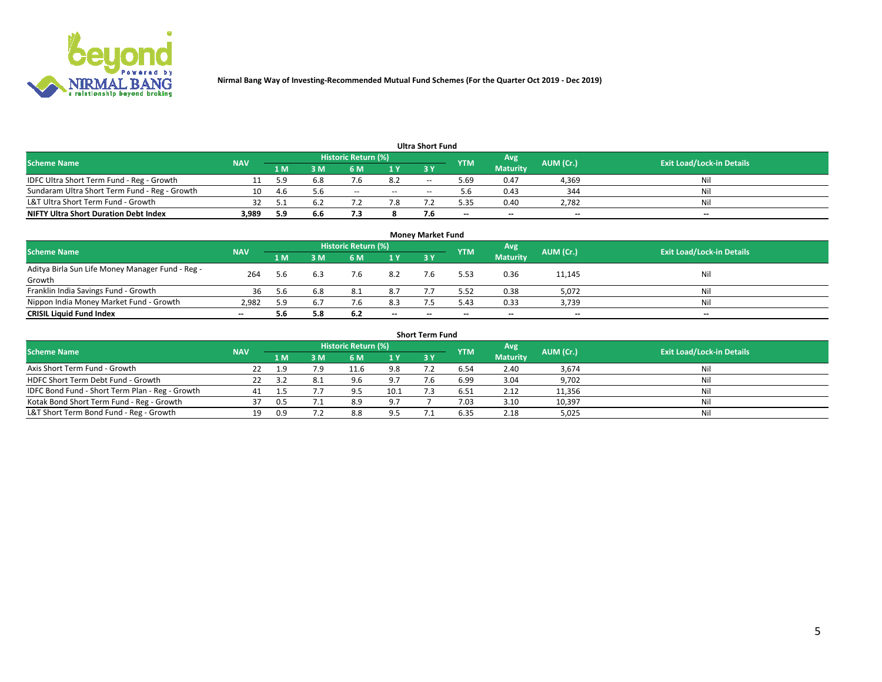

**Nirmal Bang Way of Investing-Recommended Mutual Fund Schemes (For the Quarter Oct 2019 - Dec 2019)**

| <b>Ultra Short Fund</b>                       |            |      |     |                     |     |       |            |                 |           |                                  |  |  |  |  |
|-----------------------------------------------|------------|------|-----|---------------------|-----|-------|------------|-----------------|-----------|----------------------------------|--|--|--|--|
| <b>Scheme Name</b>                            | <b>NAV</b> |      |     | Historic Return (%) |     |       | <b>YTM</b> | Avg             | AUM (Cr.) | <b>Exit Load/Lock-in Details</b> |  |  |  |  |
|                                               |            | 1 M  | I M | 6 M                 | 1 Y | 2V    |            | <b>Maturity</b> |           |                                  |  |  |  |  |
| IDFC Ultra Short Term Fund - Reg - Growth     |            | 59   | 6.8 |                     | 8.2 | $- -$ | 5.69       | 0.47            | 4,369     | Nil                              |  |  |  |  |
| Sundaram Ultra Short Term Fund - Reg - Growth |            | 4.h  | 5.6 | $- -$               | $-$ | $- -$ | 6.מ        | 0.43            | 344       | Nil                              |  |  |  |  |
| L&T Ultra Short Term Fund - Growth            | 32         |      | 6.2 |                     |     |       | 5.35       | 0.40            | 2.782     | Nil                              |  |  |  |  |
| <b>NIFTY Ultra Short Duration Debt Index</b>  | 3,989      | -5.9 | 6.6 | , , ,               |     |       | $\sim$     | $-$             | $- -$     | $\overline{\phantom{a}}$         |  |  |  |  |

| <b>Money Market Fund</b>                         |                          |      |     |                     |       |           |                          |                 |           |                                  |  |  |  |
|--------------------------------------------------|--------------------------|------|-----|---------------------|-------|-----------|--------------------------|-----------------|-----------|----------------------------------|--|--|--|
| <b>Scheme Name</b>                               | <b>NAV</b>               |      |     | Historic Return (%) |       |           | <b>YTM</b>               | Avg             | AUM (Cr.) | <b>Exit Load/Lock-in Details</b> |  |  |  |
|                                                  |                          | 1 M  | 3 M | 6 M                 | 1Y    | <b>3Y</b> |                          | <b>Maturity</b> |           |                                  |  |  |  |
| Aditya Birla Sun Life Money Manager Fund - Reg - | 264                      | 5.6  |     | 7.6                 | 8.2   |           | 5.53                     | 0.36            | 11,145    | Nil                              |  |  |  |
| Growth                                           |                          |      |     |                     |       |           |                          |                 |           |                                  |  |  |  |
| Franklin India Savings Fund - Growth             | 36                       | -5.6 | 6.8 | 8.1                 | 8.7   |           | 5.52                     | 0.38            | 5,072     | Nil                              |  |  |  |
| Nippon India Money Market Fund - Growth          | 2.982                    | 5.9  | 6.7 |                     | 8.3   |           | 5.43                     | 0.33            | 3,739     | Nil                              |  |  |  |
| <b>CRISIL Liquid Fund Index</b>                  | $\overline{\phantom{a}}$ | 5.6  | 5.8 | 6.2                 | $- -$ | --        | $\overline{\phantom{a}}$ | $\sim$          | $- -$     | $\overline{\phantom{a}}$         |  |  |  |

| <b>Short Term Fund</b>                          |            |     |     |                     |      |           |            |                 |           |                                  |  |  |  |  |
|-------------------------------------------------|------------|-----|-----|---------------------|------|-----------|------------|-----------------|-----------|----------------------------------|--|--|--|--|
| <b>Scheme Name</b>                              | <b>NAV</b> |     |     | Historic Return (%) |      |           | <b>YTM</b> | Avg             | AUM (Cr.) | <b>Exit Load/Lock-in Details</b> |  |  |  |  |
|                                                 |            | 1 M | 3 M | 6 M                 | 1Y   | <b>3Y</b> |            | <b>Maturity</b> |           |                                  |  |  |  |  |
| Axis Short Term Fund - Growth                   |            | 1.9 | 7.9 | 11.6                | 9.8  |           | 6.54       | 2.40            | 3,674     | Nil                              |  |  |  |  |
| HDFC Short Term Debt Fund - Growth              |            |     | 8.1 | 9.6                 | 9.7  |           | 6.99       | 3.04            | 9,702     | Nil                              |  |  |  |  |
| IDFC Bond Fund - Short Term Plan - Reg - Growth | 41         |     |     | 9.5                 | 10.1 |           | 6.51       | 2.12            | 11,356    | Nil                              |  |  |  |  |
| Kotak Bond Short Term Fund - Reg - Growth       |            | 0.5 |     | 8.9                 | 9.7  |           | 7.03       | 3.10            | 10,397    | Nil                              |  |  |  |  |
| L&T Short Term Bond Fund - Reg - Growth         | 19.        | 0.9 |     | 8.8                 | 9.5  |           | 6.35       | 2.18            | 5,025     | Nil                              |  |  |  |  |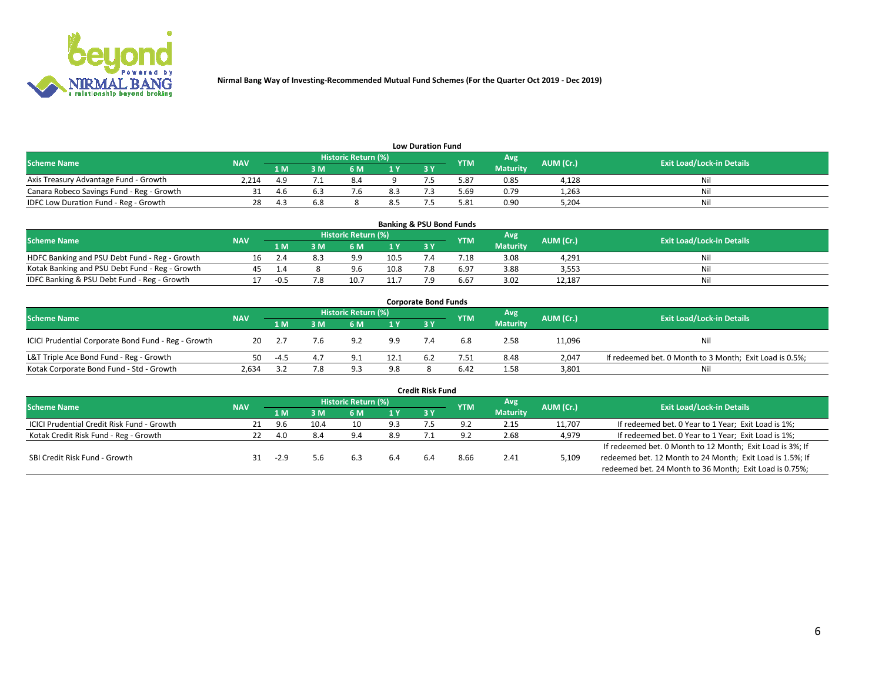

| <b>Low Duration Fund</b>                  |            |              |     |                     |                |     |            |                 |           |                                  |  |  |  |
|-------------------------------------------|------------|--------------|-----|---------------------|----------------|-----|------------|-----------------|-----------|----------------------------------|--|--|--|
| <b>Scheme Name</b>                        | <b>NAV</b> |              |     | Historic Return (%) |                |     | <b>YTM</b> | Avg             | AUM (Cr.) | <b>Exit Load/Lock-in Details</b> |  |  |  |
|                                           |            | 1 M          | sм  | 6 M                 | 1 <sub>V</sub> | 3 Y |            | <b>Maturity</b> |           |                                  |  |  |  |
| Axis Treasury Advantage Fund - Growth     | 2.214      |              |     | 8.4                 |                |     | 5.87       | 0.85            | 4.128     | Nil                              |  |  |  |
| Canara Robeco Savings Fund - Reg - Growth |            | 4.b          |     |                     | 8.3            |     | 69.د       | 0.79            | 1,263     | Nil                              |  |  |  |
| IDFC Low Duration Fund - Reg - Growth     | 28         | $\mathbf{A}$ | 6.8 |                     | 8.5            |     | 5.81       | 0.90            | 5,204     | Nil                              |  |  |  |

| <b>Banking &amp; PSU Bond Funds</b>            |            |     |    |                            |      |           |                 |                 |           |                                  |  |  |  |
|------------------------------------------------|------------|-----|----|----------------------------|------|-----------|-----------------|-----------------|-----------|----------------------------------|--|--|--|
| <b>Scheme Name</b>                             | <b>NAV</b> |     |    | <b>Historic Return (%)</b> |      |           | <b>YTM</b>      | Avg             | AUM (Cr.) | <b>Exit Load/Lock-in Details</b> |  |  |  |
|                                                |            | 1 M | sм | 6 M                        | 71 Y | <b>3Y</b> |                 | <b>Maturity</b> |           |                                  |  |  |  |
| HDFC Banking and PSU Debt Fund - Reg - Growth  |            |     |    | 9.9                        | 10.5 |           | $^{\prime}$ .18 | 3.08            | 4.291     | Ni                               |  |  |  |
| Kotak Banking and PSU Debt Fund - Reg - Growth |            |     |    | 9.6                        | 10.8 |           | 6.97            | 3.88            | 3,553     | Ni                               |  |  |  |
| IDFC Banking & PSU Debt Fund - Reg - Growth    |            |     |    |                            | 11.7 |           | 6.67            | 3.02            | 12.187    | Ni                               |  |  |  |

| <b>Corporate Bond Funds</b>                         |            |        |     |                     |      |            |            |                 |           |                                                         |  |  |  |
|-----------------------------------------------------|------------|--------|-----|---------------------|------|------------|------------|-----------------|-----------|---------------------------------------------------------|--|--|--|
| <b>Scheme Name</b>                                  | <b>NAV</b> |        |     | Historic Return (%) |      |            | <b>YTM</b> | Avg             | AUM (Cr.) | <b>Exit Load/Lock-in Details</b>                        |  |  |  |
|                                                     |            | 1 M    | 8 M | 6 M                 | 1 Y  | <b>3 Y</b> |            | <b>Maturity</b> |           |                                                         |  |  |  |
| ICICI Prudential Corporate Bond Fund - Reg - Growth | 20         |        | 7.6 | 9.2                 | 9.9  |            | 6.8        | 2.58            | 11,096    | Nil                                                     |  |  |  |
| L&T Triple Ace Bond Fund - Reg - Growth             | 50.        | $-4.5$ |     | Q                   | 12.1 |            | 7.51       | 8.48            | 2,047     | If redeemed bet. 0 Month to 3 Month; Exit Load is 0.5%; |  |  |  |
| Kotak Corporate Bond Fund - Std - Growth            | 2,634      |        | 7.8 | Q <sub>2</sub>      | 9.8  |            | 6.42       | 1.58            | 3,801     | Nil                                                     |  |  |  |

| <b>Credit Risk Fund</b>                           |            |        |      |                            |     |    |            |                 |           |                                                           |  |  |  |
|---------------------------------------------------|------------|--------|------|----------------------------|-----|----|------------|-----------------|-----------|-----------------------------------------------------------|--|--|--|
| <b>Scheme Name</b>                                | <b>NAV</b> |        |      | <b>Historic Return (%)</b> |     |    | <b>YTM</b> | 'Avg            | AUM (Cr.) | <b>Exit Load/Lock-in Details</b>                          |  |  |  |
|                                                   |            | 1 M    | 3 M  | 6 M                        | 1 Y | 3Y |            | <b>Maturity</b> |           |                                                           |  |  |  |
| <b>ICICI Prudential Credit Risk Fund - Growth</b> | 21         | 9.6    | 10.4 | 10                         | 9.3 |    | 9.2        | 2.15            | 11,707    | If redeemed bet. 0 Year to 1 Year; Exit Load is 1%;       |  |  |  |
| Kotak Credit Risk Fund - Reg - Growth             |            | 4.O    | 8.4  | $Q \triangle$              | 8.9 |    |            | 2.68            | 4,979     | If redeemed bet. 0 Year to 1 Year; Exit Load is 1%;       |  |  |  |
|                                                   |            |        |      |                            |     |    |            |                 |           | If redeemed bet. 0 Month to 12 Month; Exit Load is 3%; If |  |  |  |
| SBI Credit Risk Fund - Growth                     |            | $-2.9$ | 5.6  | -6.3                       |     |    | 8.66       | 2.41            | 5,109     | redeemed bet. 12 Month to 24 Month; Exit Load is 1.5%; If |  |  |  |
|                                                   |            |        |      |                            |     |    |            |                 |           | redeemed bet. 24 Month to 36 Month; Exit Load is 0.75%;   |  |  |  |